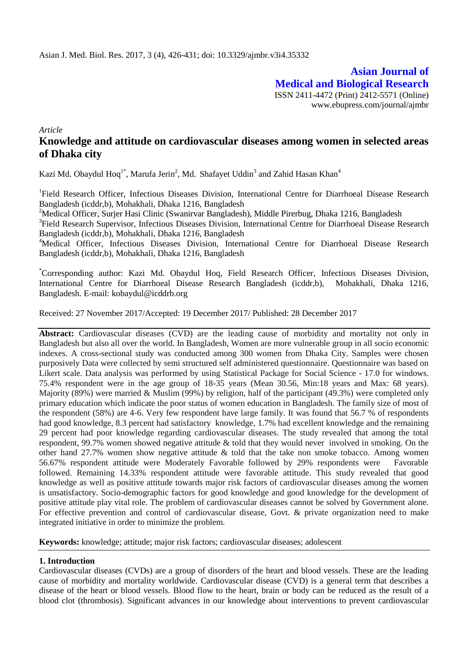**Asian Journal of Medical and Biological Research** ISSN 2411-4472 (Print) 2412-5571 (Online) www.ebupress.com/journal/ajmbr

*Article*

# **Knowledge and attitude on cardiovascular diseases among women in selected areas of Dhaka city**

Kazi Md. Obaydul Hoq<sup>1\*</sup>, Marufa Jerin<sup>2</sup>, Md. Shafayet Uddin<sup>3</sup> and Zahid Hasan Khan<sup>4</sup>

<sup>1</sup>Field Research Officer, Infectious Diseases Division, International Centre for Diarrhoeal Disease Research Bangladesh (icddr,b), Mohakhali, Dhaka 1216, Bangladesh

<sup>2</sup>Medical Officer, Surjer Hasi Clinic (Swanirvar Bangladesh), Middle Pirerbug, Dhaka 1216, Bangladesh

<sup>3</sup>Field Research Supervisor, Infectious Diseases Division, International Centre for Diarrhoeal Disease Research Bangladesh (icddr,b), Mohakhali, Dhaka 1216, Bangladesh

<sup>4</sup>Medical Officer, Infectious Diseases Division, International Centre for Diarrhoeal Disease Research Bangladesh (icddr,b), Mohakhali, Dhaka 1216, Bangladesh

\*Corresponding author: Kazi Md. Obaydul Hoq, Field Research Officer, Infectious Diseases Division, International Centre for Diarrhoeal Disease Research Bangladesh (icddr,b), Mohakhali, Dhaka 1216, Bangladesh. E-mail: kobaydul@icddrb.org

Received: 27 November 2017/Accepted: 19 December 2017/ Published: 28 December 2017

**Abstract:** Cardiovascular diseases (CVD) are the leading cause of morbidity and mortality not only in Bangladesh but also all over the world. In Bangladesh, Women are more vulnerable group in all socio economic indexes. A cross-sectional study was conducted among 300 women from Dhaka City. Samples were chosen purposively Data were collected by semi structured self administered questionnaire. Questionnaire was based on Likert scale. Data analysis was performed by using Statistical Package for Social Science - 17.0 for windows. 75.4% respondent were in the age group of 18-35 years (Mean 30.56, Min:18 years and Max: 68 years). Majority (89%) were married & Muslim (99%) by religion, half of the participant (49.3%) were completed only primary education which indicate the poor status of women education in Bangladesh. The family size of most of the respondent (58%) are 4-6. Very few respondent have large family. It was found that 56.7 % of respondents had good knowledge, 8.3 percent had satisfactory knowledge, 1.7% had excellent knowledge and the remaining 29 percent had poor knowledge regarding cardiovascular diseases. The study revealed that among the total respondent, 99.7% women showed negative attitude & told that they would never involved in smoking. On the other hand 27.7% women show negative attitude & told that the take non smoke tobacco. Among women 56.67% respondent attitude were Moderately Favorable followed by 29% respondents were Favorable followed. Remaining 14.33% respondent attitude were favorable attitude. This study revealed that good knowledge as well as positive attitude towards major risk factors of cardiovascular diseases among the women is unsatisfactory. Socio-demographic factors for good knowledge and good knowledge for the development of positive attitude play vital role. The problem of cardiovascular diseases cannot be solved by Government alone. For effective prevention and control of cardiovascular disease, Govt. & private organization need to make integrated initiative in order to minimize the problem.

**Keywords:** knowledge; attitude; major risk factors; cardiovascular diseases; adolescent

## **1. Introduction**

Cardiovascular diseases (CVDs) are a group of disorders of the heart and blood vessels. These are the leading cause of morbidity and mortality worldwide. Cardiovascular disease (CVD) is a general term that describes a disease of the heart or blood vessels. Blood flow to the heart, brain or body can be reduced as the result of a blood clot (thrombosis). Significant advances in our knowledge about interventions to prevent cardiovascular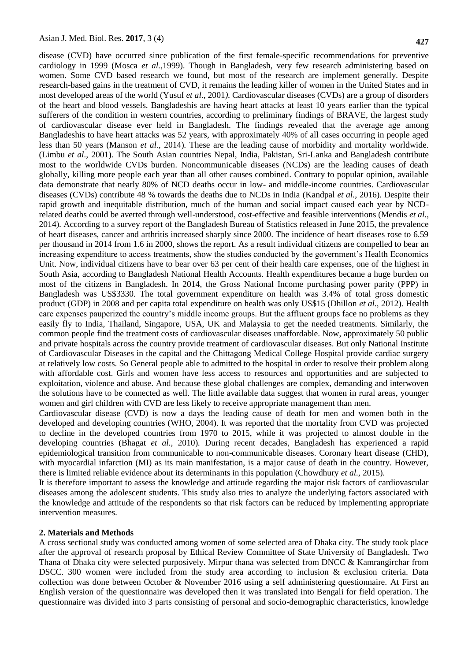disease (CVD) have occurred since publication of the first female-specific recommendations for preventive cardiology in 1999 (Mosca *et al.,*1999). Though in Bangladesh, very few research administering based on women. Some CVD based research we found, but most of the research are implement generally. Despite research-based gains in the treatment of CVD, it remains the leading killer of women in the United States and in most developed areas of the world (Yusuf *et al.,* 2001*)*. Cardiovascular diseases (CVDs) are a group of disorders of the heart and blood vessels. Bangladeshis are having heart attacks at least 10 years earlier than the typical sufferers of the condition in western countries, according to preliminary findings of BRAVE, the largest study of cardiovascular disease ever held in Bangladesh. The findings revealed that the average age among Bangladeshis to have heart attacks was 52 years, with approximately 40% of all cases occurring in people aged less than 50 years (Manson *et al.,* 2014)*.* These are the leading cause of morbidity and mortality worldwide. (Limbu *et al.,* 2001)*.* The South Asian countries Nepal, India, Pakistan, Sri-Lanka and Bangladesh contribute most to the worldwide CVDs burden. Noncommunicable diseases (NCDs) are the leading causes of death globally, killing more people each year than all other causes combined. Contrary to popular opinion, available data demonstrate that nearly 80% of NCD deaths occur in low- and middle-income countries. Cardiovascular diseases (CVDs) contribute 48 % towards the deaths due to NCDs in India (Kandpal *et al.,* 2016)*.* Despite their rapid growth and inequitable distribution, much of the human and social impact caused each year by NCDrelated deaths could be averted through well-understood, cost-effective and feasible interventions (Mendis *et al.,*  2014)*.* According to a survey report of the Bangladesh Bureau of Statistics released in June 2015, the prevalence of heart diseases, cancer and arthritis increased sharply since 2000. The incidence of heart diseases rose to 6.59 per thousand in 2014 from 1.6 in 2000, shows the report. As a result individual citizens are compelled to bear an increasing expenditure to access treatments, show the studies conducted by the government's Health Economics Unit. Now, individual citizens have to bear over 63 per cent of their health care expenses, one of the highest in South Asia, according to Bangladesh National Health Accounts. Health expenditures became a huge burden on most of the citizens in Bangladesh. In 2014, the Gross National Income purchasing power parity (PPP) in Bangladesh was US\$3330. The total government expenditure on health was 3.4% of total gross domestic product (GDP) in 2008 and per capita total expenditure on health was only US\$15 (Dhillon *et al.,* 2012)*.* Health care expenses pauperized the country's middle income groups. But the affluent groups face no problems as they easily fly to India, Thailand, Singapore, USA, UK and Malaysia to get the needed treatments. Similarly, the common people find the treatment costs of cardiovascular diseases unaffordable. Now, approximately 50 public and private hospitals across the country provide treatment of cardiovascular diseases. But only National Institute of Cardiovascular Diseases in the capital and the Chittagong Medical College Hospital provide cardiac surgery at relatively low costs. So General people able to admitted to the hospital in order to resolve their problem along with affordable cost. Girls and women have less access to resources and opportunities and are subjected to exploitation, violence and abuse. And because these global challenges are complex, demanding and interwoven the solutions have to be connected as well. The little available data suggest that women in rural areas, younger women and girl children with CVD are less likely to receive appropriate management than men.

Cardiovascular disease (CVD) is now a days the leading cause of death for men and women both in the developed and developing countries (WHO, 2004). It was reported that the mortality from CVD was projected to decline in the developed countries from 1970 to 2015, while it was projected to almost double in the developing countries (Bhagat *et al.,* 2010)*.* During recent decades, Bangladesh has experienced a rapid epidemiological transition from communicable to non-communicable diseases. Coronary heart disease (CHD), with myocardial infarction (MI) as its main manifestation, is a major cause of death in the country. However, there is limited reliable evidence about its determinants in this population (Chowdhury *et al.,* 2015)*.*

It is therefore important to assess the knowledge and attitude regarding the major risk factors of cardiovascular diseases among the adolescent students. This study also tries to analyze the underlying factors associated with the knowledge and attitude of the respondents so that risk factors can be reduced by implementing appropriate intervention measures.

#### **2. Materials and Methods**

A cross sectional study was conducted among women of some selected area of Dhaka city. The study took place after the approval of research proposal by Ethical Review Committee of State University of Bangladesh. Two Thana of Dhaka city were selected purposively. Mirpur thana was selected from DNCC & Kamrangirchar from DSCC. 300 women were included from the study area according to inclusion & exclusion criteria. Data collection was done between October & November 2016 using a self administering questionnaire. At First an English version of the questionnaire was developed then it was translated into Bengali for field operation. The questionnaire was divided into 3 parts consisting of personal and socio-demographic characteristics, knowledge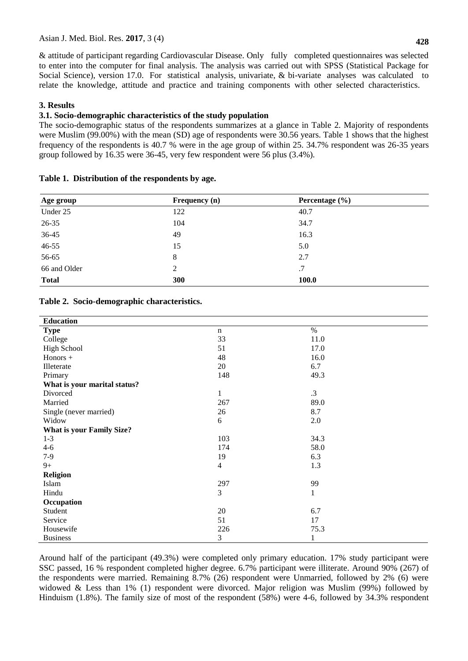& attitude of participant regarding Cardiovascular Disease. Only fully completed questionnaires was selected to enter into the computer for final analysis. The analysis was carried out with SPSS (Statistical Package for Social Science), version 17.0. For statistical analysis, univariate, & bi-variate analyses was calculated to relate the knowledge, attitude and practice and training components with other selected characteristics.

## **3. Results**

## **3.1. Socio-demographic characteristics of the study population**

The socio-demographic status of the respondents summarizes at a glance in Table 2. Majority of respondents were Muslim (99.00%) with the mean (SD) age of respondents were 30.56 years. Table 1 shows that the highest frequency of the respondents is 40.7 % were in the age group of within 25. 34.7% respondent was 26-35 years group followed by 16.35 were 36-45, very few respondent were 56 plus (3.4%)*.*

| Age group    | Frequency (n) | Percentage $(\% )$ |  |
|--------------|---------------|--------------------|--|
| Under 25     | 122           | 40.7               |  |
| $26 - 35$    | 104           | 34.7               |  |
| 36-45        | 49            | 16.3               |  |
| $46 - 55$    | 15            | 5.0                |  |
| 56-65        | 8             | 2.7                |  |
| 66 and Older | 2             | .7                 |  |
| <b>Total</b> | 300           | <b>100.0</b>       |  |

## **Table 1. Distribution of the respondents by age.**

## **Table 2. Socio-demographic characteristics.**

| <b>Education</b>                 |                |              |
|----------------------------------|----------------|--------------|
| <b>Type</b>                      | n              | $\%$         |
| College                          | 33             | 11.0         |
| <b>High School</b>               | 51             | 17.0         |
| Honors +                         | 48             | 16.0         |
| Illeterate                       | 20             | 6.7          |
| Primary                          | 148            | 49.3         |
| What is your marital status?     |                |              |
| Divorced                         | $\,1$          | $\cdot$ 3    |
| Married                          | 267            | 89.0         |
| Single (never married)           | 26             | 8.7          |
| Widow                            | 6              | 2.0          |
| <b>What is your Family Size?</b> |                |              |
| $1 - 3$                          | 103            | 34.3         |
| $4 - 6$                          | 174            | 58.0         |
| $7-9$                            | 19             | 6.3          |
| $9+$                             | $\overline{4}$ | 1.3          |
| <b>Religion</b>                  |                |              |
| Islam                            | 297            | 99           |
| Hindu                            | 3              | $\mathbf{1}$ |
| Occupation                       |                |              |
| Student                          | 20             | 6.7          |
| Service                          | 51             | 17           |
| Housewife                        | 226            | 75.3         |
| <b>Business</b>                  | 3              | 1            |

Around half of the participant (49.3%) were completed only primary education. 17% study participant were SSC passed, 16 % respondent completed higher degree. 6.7% participant were illiterate. Around 90% (267) of the respondents were married. Remaining 8.7% (26) respondent were Unmarried, followed by 2% (6) were widowed & Less than 1% (1) respondent were divorced. Major religion was Muslim (99%) followed by Hinduism (1.8%). The family size of most of the respondent (58%) were 4-6, followed by 34.3% respondent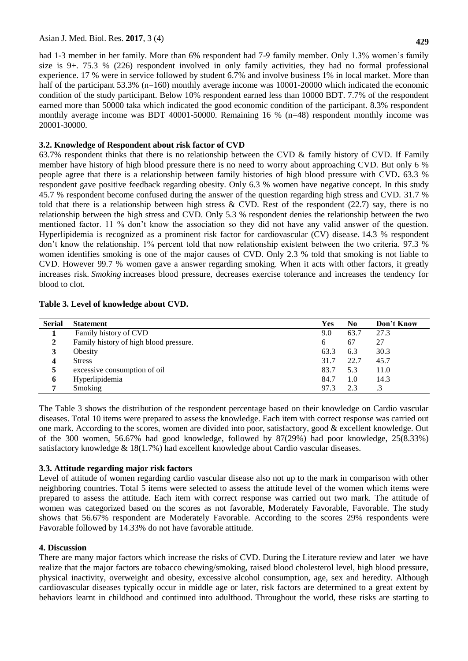**429**

had 1-3 member in her family. More than 6% respondent had 7-9 family member. Only 1.3% women's family size is 9+. 75.3 % (226) respondent involved in only family activities, they had no formal professional experience. 17 % were in service followed by student 6.7% and involve business 1% in local market. More than half of the participant 53.3% (n=160) monthly average income was 10001-20000 which indicated the economic condition of the study participant. Below 10% respondent earned less than 10000 BDT. 7.7% of the respondent earned more than 50000 taka which indicated the good economic condition of the participant. 8.3% respondent monthly average income was BDT 40001-50000. Remaining 16 % (n=48) respondent monthly income was 20001-30000.

# **3.2. Knowledge of Respondent about risk factor of CVD**

63.7% respondent thinks that there is no relationship between the CVD & family history of CVD. If Family member have history of high blood pressure there is no need to worry about approaching CVD. But only 6 % people agree that there is a relationship between family histories of high blood pressure with CVD**.** 63.3 % respondent gave positive feedback regarding obesity. Only 6.3 % women have negative concept. In this study 45.7 % respondent become confused during the answer of the question regarding high stress and CVD. 31.7 % told that there is a relationship between high stress & CVD. Rest of the respondent (22.7) say, there is no relationship between the high stress and CVD. Only 5.3 % respondent denies the relationship between the two mentioned factor. 11 % don't know the association so they did not have any valid answer of the question. Hyperlipidemia is recognized as a prominent risk factor for cardiovascular (CV) disease. 14.3 % respondent don't know the relationship. 1% percent told that now relationship existent between the two criteria. 97.3 % women identifies smoking is one of the major causes of CVD. Only 2.3 % told that smoking is not liable to CVD. However 99.7 % women gave a answer regarding smoking. When it acts with other factors, it greatly increases risk. *Smoking* increases blood pressure, decreases exercise tolerance and increases the tendency for blood to clot.

## **Table 3. Level of knowledge about CVD.**

| <b>Serial</b> | <b>Statement</b>                       | Yes  | No.  | Don't Know |
|---------------|----------------------------------------|------|------|------------|
|               | Family history of CVD                  | 9.0  | 63.7 | 27.3       |
| 2             | Family history of high blood pressure. | 6    | 67   | 27         |
| 3             | Obesity                                | 63.3 | 6.3  | 30.3       |
| 4             | <b>Stress</b>                          | 31.7 | 22.7 | 45.7       |
| 5             | excessive consumption of oil           | 83.7 | 5.3  | 11.0       |
| 6             | Hyperlipidemia                         | 84.7 | 1.0  | 14.3       |
| 7             | Smoking                                | 97.3 | 2.3  |            |

The Table 3 shows the distribution of the respondent percentage based on their knowledge on Cardio vascular diseases. Total 10 items were prepared to assess the knowledge. Each item with correct response was carried out one mark. According to the scores, women are divided into poor, satisfactory, good & excellent knowledge. Out of the 300 women, 56.67% had good knowledge, followed by 87(29%) had poor knowledge, 25(8.33%) satisfactory knowledge & 18(1.7%) had excellent knowledge about Cardio vascular diseases.

# **3.3. Attitude regarding major risk factors**

Level of attitude of women regarding cardio vascular disease also not up to the mark in comparison with other neighboring countries. Total 5 items were selected to assess the attitude level of the women which items were prepared to assess the attitude. Each item with correct response was carried out two mark. The attitude of women was categorized based on the scores as not favorable, Moderately Favorable, Favorable. The study shows that 56.67% respondent are Moderately Favorable. According to the scores 29% respondents were Favorable followed by 14.33% do not have favorable attitude.

## **4. Discussion**

There are many major factors which increase the risks of CVD. During the Literature review and later we have realize that the major factors are tobacco chewing/smoking, raised blood cholesterol level, high blood pressure, physical inactivity, overweight and obesity, excessive alcohol consumption, age, sex and heredity. Although cardiovascular diseases typically occur in middle age or later, risk factors are determined to a great extent by behaviors learnt in childhood and continued into adulthood. Throughout the world, these risks are starting to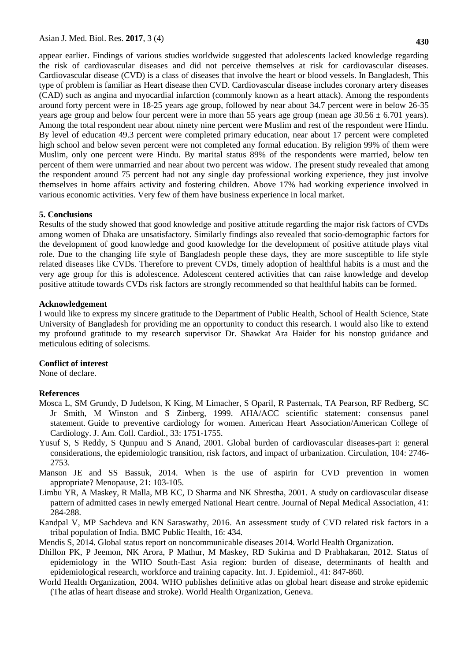appear earlier. Findings of various studies worldwide suggested that adolescents lacked knowledge regarding the risk of cardiovascular diseases and did not perceive themselves at risk for cardiovascular diseases. Cardiovascular disease (CVD) is a class of diseases that involve the heart or blood vessels. In Bangladesh, This type of problem is familiar as Heart disease then CVD. Cardiovascular disease includes coronary artery diseases (CAD) such as angina and myocardial infarction (commonly known as a heart attack). Among the respondents around forty percent were in 18-25 years age group, followed by near about 34.7 percent were in below 26-35 years age group and below four percent were in more than 55 years age group (mean age  $30.56 \pm 6.701$  years). Among the total respondent near about ninety nine percent were Muslim and rest of the respondent were Hindu. By level of education 49.3 percent were completed primary education, near about 17 percent were completed high school and below seven percent were not completed any formal education. By religion 99% of them were Muslim, only one percent were Hindu. By marital status 89% of the respondents were married, below ten percent of them were unmarried and near about two percent was widow. The present study revealed that among the respondent around 75 percent had not any single day professional working experience, they just involve themselves in home affairs activity and fostering children. Above 17% had working experience involved in various economic activities. Very few of them have business experience in local market.

#### **5. Conclusions**

Results of the study showed that good knowledge and positive attitude regarding the major risk factors of CVDs among women of Dhaka are unsatisfactory. Similarly findings also revealed that socio-demographic factors for the development of good knowledge and good knowledge for the development of positive attitude plays vital role. Due to the changing life style of Bangladesh people these days, they are more susceptible to life style related diseases like CVDs. Therefore to prevent CVDs, timely adoption of healthful habits is a must and the very age group for this is adolescence. Adolescent centered activities that can raise knowledge and develop positive attitude towards CVDs risk factors are strongly recommended so that healthful habits can be formed.

#### **Acknowledgement**

I would like to express my sincere gratitude to the Department of Public Health, School of Health Science, State University of Bangladesh for providing me an opportunity to conduct this research. I would also like to extend my profound gratitude to my research supervisor Dr. Shawkat Ara Haider for his nonstop guidance and meticulous editing of solecisms.

#### **Conflict of interest**

None of declare.

#### **References**

- [Mosca L,](https://www.ncbi.nlm.nih.gov/pubmed/?term=Mosca%20L%5BAuthor%5D&cauthor=true&cauthor_uid=10334455) SM [Grundy,](https://www.ncbi.nlm.nih.gov/pubmed/?term=Grundy%20SM%5BAuthor%5D&cauthor=true&cauthor_uid=10334455) D [Judelson,](https://www.ncbi.nlm.nih.gov/pubmed/?term=Judelson%20D%5BAuthor%5D&cauthor=true&cauthor_uid=10334455) K [King,](https://www.ncbi.nlm.nih.gov/pubmed/?term=King%20K%5BAuthor%5D&cauthor=true&cauthor_uid=10334455) M [Limacher,](https://www.ncbi.nlm.nih.gov/pubmed/?term=Limacher%20M%5BAuthor%5D&cauthor=true&cauthor_uid=10334455) S [Oparil,](https://www.ncbi.nlm.nih.gov/pubmed/?term=Oparil%20S%5BAuthor%5D&cauthor=true&cauthor_uid=10334455) R [Pasternak,](https://www.ncbi.nlm.nih.gov/pubmed/?term=Pasternak%20R%5BAuthor%5D&cauthor=true&cauthor_uid=10334455) TA [Pearson,](https://www.ncbi.nlm.nih.gov/pubmed/?term=Pearson%20TA%5BAuthor%5D&cauthor=true&cauthor_uid=10334455) RF [Redberg,](https://www.ncbi.nlm.nih.gov/pubmed/?term=Redberg%20RF%5BAuthor%5D&cauthor=true&cauthor_uid=10334455) SC Jr [Smith,](https://www.ncbi.nlm.nih.gov/pubmed/?term=Smith%20SC%20Jr%5BAuthor%5D&cauthor=true&cauthor_uid=10334455) M [Winston](https://www.ncbi.nlm.nih.gov/pubmed/?term=Winston%20M%5BAuthor%5D&cauthor=true&cauthor_uid=10334455) and S [Zinberg,](https://www.ncbi.nlm.nih.gov/pubmed/?term=Zinberg%20S%5BAuthor%5D&cauthor=true&cauthor_uid=10334455) 1999. AHA/ACC scientific statement: consensus panel statement. Guide to preventive cardiology for women. American Heart Association/American College of Cardiology. [J. Am. Coll. Cardiol.,](https://www.ncbi.nlm.nih.gov/pubmed/10334455) 33: 1751-1755.
- Yusuf S, S Reddy, S Qunpuu and S Anand, 2001. Global burden of cardiovascular diseases-part i: general considerations, the epidemiologic transition, risk factors, and impact of urbanization. [Circulation,](https://www.ncbi.nlm.nih.gov/pubmed/11723030) 104: 2746- 2753.
- Manson JE and SS Bassuk, 2014. When is the use of aspirin for CVD prevention in women appropriate? Menopause, 21: 103-105.
- Limbu YR, A Maskey, R Malla, MB KC, D Sharma and NK Shrestha, 2001. A study on cardiovascular disease pattern of admitted cases in newly emerged National Heart centre. Journal of Nepal Medical Association, 41: 284-288.
- Kandpal V, MP Sachdeva and KN Saraswathy, 2016. An assessment study of CVD related risk factors in a tribal population of India. BMC Public Health, 16: 434.
- Mendis S, 2014. Global status report on noncommunicable diseases 2014. World Health Organization.
- Dhillon PK, P Jeemon, NK Arora, P Mathur, M Maskey, RD Sukirna and D Prabhakaran, 2012. Status of epidemiology in the WHO South-East Asia region: burden of disease, determinants of health and epidemiological research, workforce and training capacity. Int. J. Epidemiol., 41: 847-860.
- World Health Organization, 2004. WHO publishes definitive atlas on global heart disease and stroke epidemic (The atlas of heart disease and stroke). World Health Organization, Geneva.